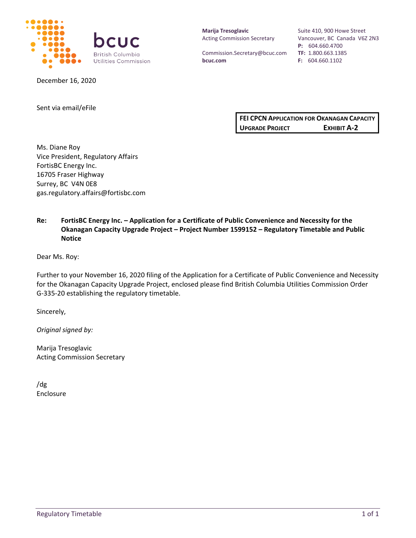

December 16, 2020

**Marija Tresoglavic** Acting Commission Secretary

Commission.Secretary@bcuc.com **bcuc.com**

Suite 410, 900 Howe Street Vancouver, BC Canada V6Z 2N3 **P:** 604.660.4700 **TF:** 1.800.663.1385 **F:** 604.660.1102

Sent via email/eFile

**FEI CPCN APPLICATION FOR OKANAGAN CAPACITY UPGRADE PROJECT EXHIBIT A-2**

Ms. Diane Roy Vice President, Regulatory Affairs FortisBC Energy Inc. 16705 Fraser Highway Surrey, BC V4N 0E8 gas.regulatory.affairs@fortisbc.com

### **Re: FortisBC Energy Inc. – Application for a Certificate of Public Convenience and Necessity for the Okanagan Capacity Upgrade Project – Project Number 1599152 – Regulatory Timetable and Public Notice**

Dear Ms. Roy:

Further to your November 16, 2020 filing of the Application for a Certificate of Public Convenience and Necessity for the Okanagan Capacity Upgrade Project, enclosed please find British Columbia Utilities Commission Order G-335-20 establishing the regulatory timetable.

Sincerely,

*Original signed by:*

Marija Tresoglavic Acting Commission Secretary

/dg Enclosure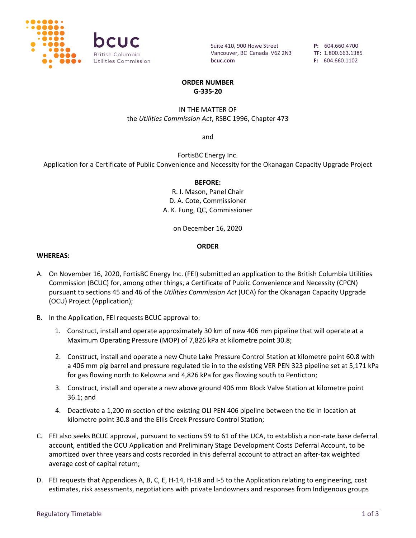

Suite 410, 900 Howe Street Vancouver, BC Canada V6Z 2N3 **bcuc.com**

**P:** 604.660.4700 **TF:** 1.800.663.1385 **F:** 604.660.1102

### **ORDER NUMBER G-335-20**

### IN THE MATTER OF the *Utilities Commission Act*, RSBC 1996, Chapter 473

and

FortisBC Energy Inc. Application for a Certificate of Public Convenience and Necessity for the Okanagan Capacity Upgrade Project

### **BEFORE:**

R. I. Mason, Panel Chair D. A. Cote, Commissioner A. K. Fung, QC, Commissioner

on December 16, 2020

### **ORDER**

### **WHEREAS:**

- A. On November 16, 2020, FortisBC Energy Inc. (FEI) submitted an application to the British Columbia Utilities Commission (BCUC) for, among other things, a Certificate of Public Convenience and Necessity (CPCN) pursuant to sections 45 and 46 of the *Utilities Commission Act* (UCA) for the Okanagan Capacity Upgrade (OCU) Project (Application);
- B. In the Application, FEI requests BCUC approval to:
	- 1. Construct, install and operate approximately 30 km of new 406 mm pipeline that will operate at a Maximum Operating Pressure (MOP) of 7,826 kPa at kilometre point 30.8;
	- 2. Construct, install and operate a new Chute Lake Pressure Control Station at kilometre point 60.8 with a 406 mm pig barrel and pressure regulated tie in to the existing VER PEN 323 pipeline set at 5,171 kPa for gas flowing north to Kelowna and 4,826 kPa for gas flowing south to Penticton;
	- 3. Construct, install and operate a new above ground 406 mm Block Valve Station at kilometre point 36.1; and
	- 4. Deactivate a 1,200 m section of the existing OLI PEN 406 pipeline between the tie in location at kilometre point 30.8 and the Ellis Creek Pressure Control Station;
- C. FEI also seeks BCUC approval, pursuant to sections 59 to 61 of the UCA, to establish a non-rate base deferral account, entitled the OCU Application and Preliminary Stage Development Costs Deferral Account, to be amortized over three years and costs recorded in this deferral account to attract an after-tax weighted average cost of capital return;
- D. FEI requests that Appendices A, B, C, E, H-14, H-18 and I-5 to the Application relating to engineering, cost estimates, risk assessments, negotiations with private landowners and responses from Indigenous groups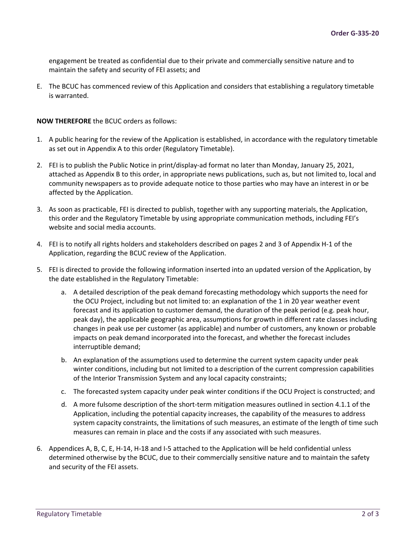engagement be treated as confidential due to their private and commercially sensitive nature and to maintain the safety and security of FEI assets; and

E. The BCUC has commenced review of this Application and considers that establishing a regulatory timetable is warranted.

**NOW THEREFORE** the BCUC orders as follows:

- 1. A public hearing for the review of the Application is established, in accordance with the regulatory timetable as set out in Appendix A to this order (Regulatory Timetable).
- 2. FEI is to publish the Public Notice in print/display-ad format no later than Monday, January 25, 2021, attached as Appendix B to this order, in appropriate news publications, such as, but not limited to, local and community newspapers as to provide adequate notice to those parties who may have an interest in or be affected by the Application.
- 3. As soon as practicable, FEI is directed to publish, together with any supporting materials, the Application, this order and the Regulatory Timetable by using appropriate communication methods, including FEI's website and social media accounts.
- 4. FEI is to notify all rights holders and stakeholders described on pages 2 and 3 of Appendix H-1 of the Application, regarding the BCUC review of the Application.
- 5. FEI is directed to provide the following information inserted into an updated version of the Application, by the date established in the Regulatory Timetable:
	- a. A detailed description of the peak demand forecasting methodology which supports the need for the OCU Project, including but not limited to: an explanation of the 1 in 20 year weather event forecast and its application to customer demand, the duration of the peak period (e.g. peak hour, peak day), the applicable geographic area, assumptions for growth in different rate classes including changes in peak use per customer (as applicable) and number of customers, any known or probable impacts on peak demand incorporated into the forecast, and whether the forecast includes interruptible demand;
	- b. An explanation of the assumptions used to determine the current system capacity under peak winter conditions, including but not limited to a description of the current compression capabilities of the Interior Transmission System and any local capacity constraints;
	- c. The forecasted system capacity under peak winter conditions if the OCU Project is constructed; and
	- d. A more fulsome description of the short-term mitigation measures outlined in section 4.1.1 of the Application, including the potential capacity increases, the capability of the measures to address system capacity constraints, the limitations of such measures, an estimate of the length of time such measures can remain in place and the costs if any associated with such measures.
- 6. Appendices A, B, C, E, H-14, H-18 and I-5 attached to the Application will be held confidential unless determined otherwise by the BCUC, due to their commercially sensitive nature and to maintain the safety and security of the FEI assets.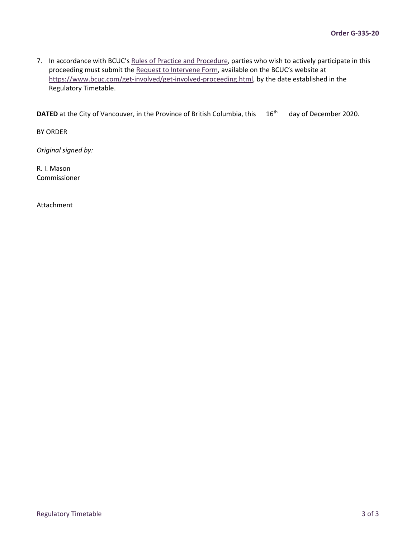7. In accordance with BCUC's [Rules of Practice and Procedure,](https://www.bcuc.com/Documents/Participant-Info/G-15-19_BCUC_Rules_of_Practice_and_Procedure.pdf) parties who wish to actively participate in this proceeding must submit th[e Request to Intervene Form,](https://www.bcuc.com/forms/request-to-intervene.aspx) available on the BCUC's website at [https://www.bcuc.com/get-involved/get-involved-proceeding.html,](https://www.bcuc.com/get-involved/get-involved-proceeding.html) by the date established in the Regulatory Timetable.

**DATED** at the City of Vancouver, in the Province of British Columbia, this 16<sup>th</sup> day of December 2020.

BY ORDER

*Original signed by:*

R. I. Mason Commissioner

Attachment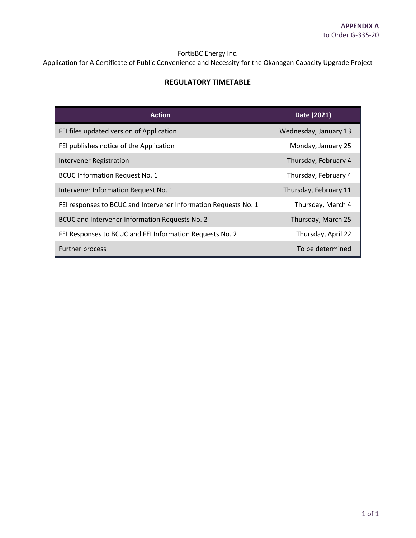# FortisBC Energy Inc.

Application for A Certificate of Public Convenience and Necessity for the Okanagan Capacity Upgrade Project

### **REGULATORY TIMETABLE**

| <b>Action</b>                                                   | Date (2021)           |
|-----------------------------------------------------------------|-----------------------|
| FEI files updated version of Application                        | Wednesday, January 13 |
| FEI publishes notice of the Application                         | Monday, January 25    |
| Intervener Registration                                         | Thursday, February 4  |
| <b>BCUC Information Request No. 1</b>                           | Thursday, February 4  |
| Intervener Information Request No. 1                            | Thursday, February 11 |
| FEI responses to BCUC and Intervener Information Requests No. 1 | Thursday, March 4     |
| BCUC and Intervener Information Requests No. 2                  | Thursday, March 25    |
| FEI Responses to BCUC and FEI Information Requests No. 2        | Thursday, April 22    |
| Further process                                                 | To be determined      |